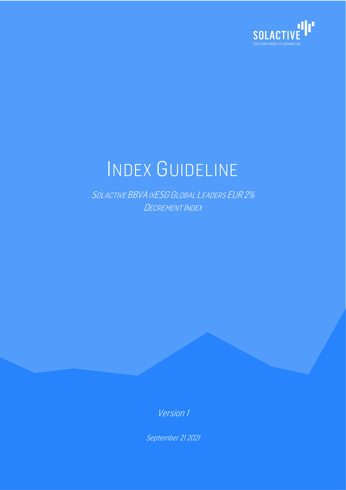

# INDEX GUIDELINE

SOLACTIVE BBVA IXESG GLOBAL LEADERS EUR 2% DECREMENT INDEX

Version 1

September 21 2021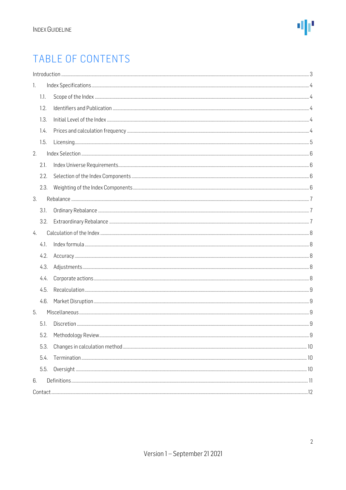# TABLE OF CONTENTS

| 1.   |  |
|------|--|
| 1.1. |  |
| 1.2. |  |
| 1.3. |  |
| 1.4. |  |
| 1.5. |  |
| 2.   |  |
| 2.1. |  |
| 2.2. |  |
| 2.3. |  |
| 3.   |  |
| 3.1. |  |
| 3.2. |  |
| 4.   |  |
| 4.1. |  |
| 4.2. |  |
| 4.3. |  |
| 4.4. |  |
| 4.5. |  |
| 4.6. |  |
| 5.   |  |
| 5.1. |  |
| 5.2. |  |
| 5.3. |  |
| 5.4. |  |
| 5.5. |  |
| 6.   |  |
|      |  |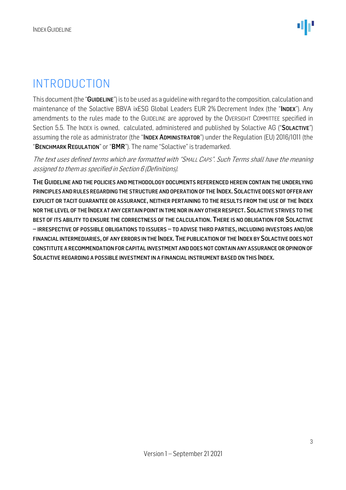### <span id="page-2-0"></span>INTRODUCTION

This document (the "GUIDELINE") is to be used as a guideline with regard to the composition, calculation and maintenance of the Solactive BBVA ixESG Global Leaders EUR 2% Decrement Index (the "INDEX"). Any amendments to the rules made to the GUIDELINE are approved by the OVERSIGHT COMMITTEE specified in Section 5.5. The INDEX is owned, calculated, administered and published by Solactive AG ("SOLACTIVE") assuming the role as administrator (the "INDEX ADMINISTRATOR") under the Regulation (EU) 2016/1011 (the "BENCHMARK REGULATION" or "BMR"). The name "Solactive" is trademarked.

The text uses defined terms which are formatted with "SMALL CAPS". Such Terms shall have the meaning assigned to them as specified in Section 6 (Definitions).

THE GUIDELINE AND THE POLICIES AND METHODOLOGY DOCUMENTS REFERENCED HEREIN CONTAIN THE UNDERLYING PRINCIPLES AND RULES REGARDING THE STRUCTURE AND OPERATION OF THE INDEX. SOLACTIVE DOES NOT OFFER ANY EXPLICIT OR TACIT GUARANTEE OR ASSURANCE, NEITHER PERTAINING TO THE RESULTS FROM THE USE OF THE INDEX NOR THE LEVEL OF THE INDEX AT ANY CERTAIN POINT IN TIME NOR IN ANY OTHER RESPECT.SOLACTIVE STRIVES TO THE BEST OF ITS ABILITY TO ENSURE THE CORRECTNESS OF THE CALCULATION. THERE IS NO OBLIGATION FOR SOLACTIVE – IRRESPECTIVE OF POSSIBLE OBLIGATIONS TO ISSUERS – TO ADVISE THIRD PARTIES, INCLUDING INVESTORS AND/OR FINANCIAL INTERMEDIARIES, OF ANY ERRORS IN THE INDEX. THE PUBLICATION OF THE INDEX BY SOLACTIVE DOES NOT CONSTITUTE A RECOMMENDATION FOR CAPITAL INVESTMENT AND DOES NOT CONTAIN ANY ASSURANCE OR OPINION OF SOLACTIVE REGARDING A POSSIBLE INVESTMENT IN A FINANCIAL INSTRUMENT BASED ON THIS INDEX.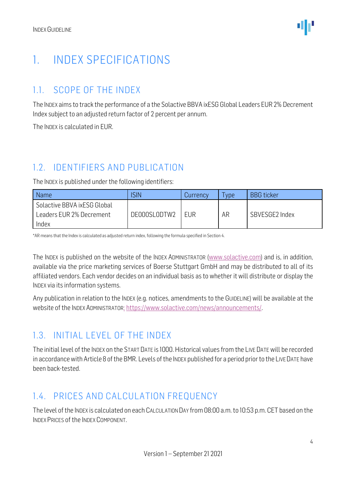# <span id="page-3-0"></span>1. INDEX SPECIFICATIONS

#### <span id="page-3-1"></span>1.1. SCOPE OF THE INDEX

The INDEX aims to track the performance of a the Solactive BBVA ixESG Global Leaders EUR 2% Decrement Index subject to an adjusted return factor of 2 percent per annum.

The INDEX is calculated in EUR.

#### <span id="page-3-2"></span>1.2. IDENTIFIERS AND PUBLICATION

The INDEX is published under the following identifiers:

| <b>SIN</b>   | Currency | ype | <b>BBG</b> ticker |
|--------------|----------|-----|-------------------|
| DE000SL0DTW2 | EUR      | AR  | SBVESGE2 Index    |
|              |          |     |                   |

\*AR means that the Index is calculated as adjusted return index, following the formula specified in Section 4.

The INDEX is published on the website of the INDEX ADMINISTRATOR [\(www.solactive.com\)](http://www.solactive.com/) and is, in addition, available via the price marketing services of Boerse Stuttgart GmbH and may be distributed to all of its affiliated vendors. Each vendor decides on an individual basis as to whether it will distribute or display the INDEX via its information systems.

Any publication in relation to the INDEX (e.g. notices, amendments to the GUIDELINE) will be available at the website of the INDEX ADMINISTRATOR: [https://www.solactive.com/news/announcements/.](https://www.solactive.com/news/announcements/)

#### <span id="page-3-3"></span>1.3. INITIAL LEVEL OF THE INDEX

The initial level of the INDEX on the START DATE is 1000. Historical values from the LIVE DATE will be recorded in accordance with Article 8 of the BMR. Levels of the INDEX published for a period prior to the LIVE DATE have been back-tested.

#### <span id="page-3-4"></span>1.4. PRICES AND CALCULATION FREQUENCY

The level of the INDEX is calculated on each CALCULATION DAY from 08:00 a.m. to 10:53 p.m. CET based on the INDEX PRICES of the INDEX COMPONENT.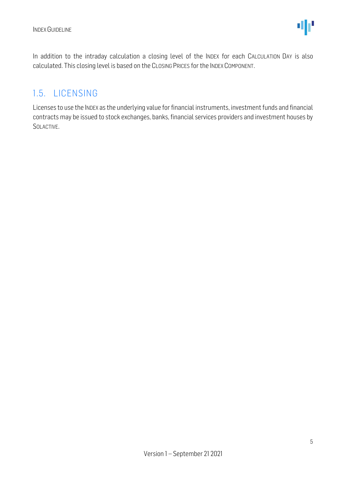In addition to the intraday calculation a closing level of the INDEX for each CALCULATION DAY is also calculated. This closing level is based on the CLOSING PRICES for the INDEX COMPONENT.

#### <span id="page-4-0"></span>1.5. LICENSING

Licenses to use the INDEX as the underlying value for financial instruments, investment funds and financial contracts may be issued to stock exchanges, banks, financial services providers and investment houses by SOLACTIVE.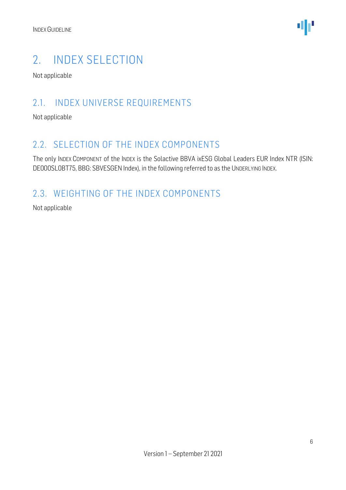

## <span id="page-5-0"></span>2. INDEX SELECTION

Not applicable

#### <span id="page-5-1"></span>2.1. INDEX UNIVERSE REQUIREMENTS

Not applicable

#### <span id="page-5-2"></span>2.2. SELECTION OF THE INDEX COMPONENTS

The only INDEX COMPONENT of the INDEX is the Solactive BBVA ixESG Global Leaders EUR Index NTR (ISIN: DE000SL0BT75, BBG: SBVESGEN Index), in the following referred to as the UNDERLYING INDEX.

#### <span id="page-5-3"></span>2.3. WEIGHTING OF THE INDEX COMPONENTS

Not applicable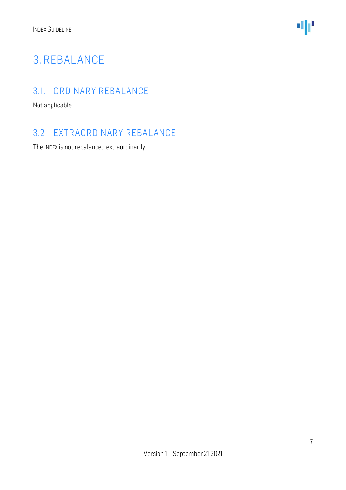

# <span id="page-6-0"></span>3. REBALANCE

#### <span id="page-6-1"></span>3.1. ORDINARY REBALANCE

Not applicable

#### <span id="page-6-2"></span>3.2. EXTRAORDINARY REBALANCE

The INDEX is not rebalanced extraordinarily.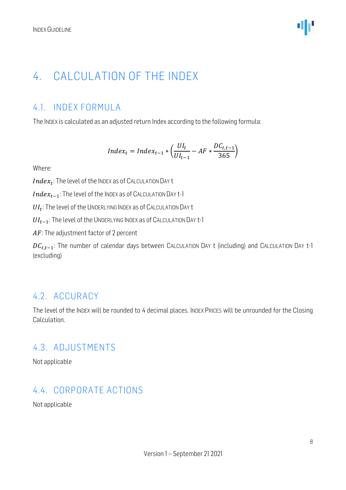# <span id="page-7-0"></span>4. CALCULATION OF THE INDEX

#### <span id="page-7-1"></span>4.1. INDEX FORMULA

The INDEX is calculated as an adjusted return Index according to the following formula:

$$
Index_t = Index_{t-1} * \left(\frac{UI_t}{UI_{t-1}} - AF * \frac{DC_{t,t-1}}{365}\right)
$$

Where:

 $Index_t$ : The level of the Index as of Calculation Day t

 $Index_{t-1}$ : The level of the INDEX as of CALCULATION DAY t-1

 $UI_t$ : The level of the UNDERLYING INDEX as of CALCULATION DAY t

 $UI_{t-1}$ : The level of the UNDERLYING INDEX as of CALCULATION DAY t-1

 $AF$ : The adjustment factor of 2 percent

 $DC_{t,t-1}$ : The number of calendar days between CALCULATION DAY t (including) and CALCULATION DAY t-1 (excluding)

#### <span id="page-7-2"></span>4.2. ACCURACY

The level of the INDEX will be rounded to 4 decimal places. INDEX PRICES will be unrounded for the Closing Calculation.

#### <span id="page-7-3"></span>4.3. ADJUSTMENTS

Not applicable

#### <span id="page-7-4"></span>4.4. CORPORATE ACTIONS

Not applicable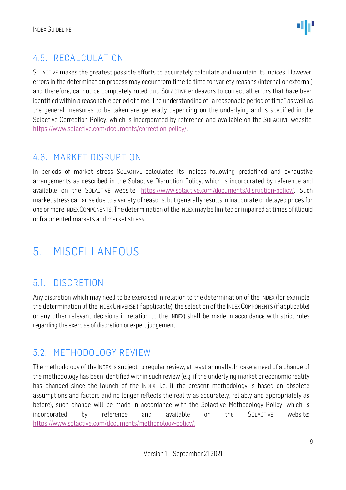#### <span id="page-8-0"></span>4.5. RECALCULATION

SOLACTIVE makes the greatest possible efforts to accurately calculate and maintain its indices. However, errors in the determination process may occur from time to time for variety reasons (internal or external) and therefore, cannot be completely ruled out. SOLACTIVE endeavors to correct all errors that have been identified within a reasonable period of time. The understanding of "a reasonable period of time" as well as the general measures to be taken are generally depending on the underlying and is specified in the Solactive Correction Policy, which is incorporated by reference and available on the SOLACTIVE website: [https://www.solactive.com/documents/correction-policy/.](https://www.solactive.com/documents/correction-policy/)

#### <span id="page-8-1"></span>4.6. MARKET DISRUPTION

In periods of market stress SOLACTIVE calculates its indices following predefined and exhaustive arrangements as described in the Solactive Disruption Policy, which is incorporated by reference and available on the SOLACTIVE website: [https://www.solactive.com/documents/disruption-policy/.](https://www.solactive.com/documents/disruption-policy/) Such market stress can arise due to a variety of reasons, but generally results in inaccurate or delayed prices for one or more INDEXCOMPONENTS. The determination of the INDEXmay be limited or impaired at times of illiquid or fragmented markets and market stress.

# <span id="page-8-2"></span>5. MISCELLANEOUS

#### <span id="page-8-3"></span>5.1. DISCRETION

Any discretion which may need to be exercised in relation to the determination of the INDEX (for example the determination of the INDEX UNIVERSE (if applicable), the selection of the INDEX COMPONENTS (if applicable) or any other relevant decisions in relation to the INDEX) shall be made in accordance with strict rules regarding the exercise of discretion or expert judgement.

#### <span id="page-8-4"></span>5.2. METHODOLOGY REVIEW

The methodology of the INDEX is subject to regular review, at least annually. In case a need of a change of the methodology has been identified within such review (e.g. if the underlying market or economic reality has changed since the launch of the INDEX, i.e. if the present methodology is based on obsolete assumptions and factors and no longer reflects the reality as accurately, reliably and appropriately as before), such change will be made in accordance with the Solactive Methodology Policy, which is incorporated by reference and available on the SOLACTIVE website: [https://www.solactive.com/documents/methodology-policy/.](https://www.solactive.com/documents/methodology-policy/)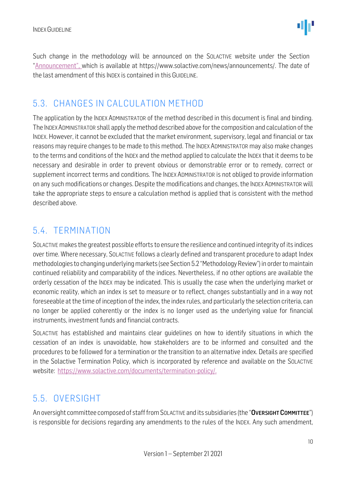Such change in the methodology will be announced on the SOLACTIVE website under the Section "Announcement", which is available at https://www.solactive.com/news/announcements/. The date of the last amendment of this INDEX is contained in this GUIDELINE.

#### <span id="page-9-0"></span>5.3. CHANGES IN CALCULATION METHOD

The application by the INDEX ADMINISTRATOR of the method described in this document is final and binding. The INDEXADMINISTRATOR shall apply the method described above for the composition and calculation of the INDEX. However, it cannot be excluded that the market environment, supervisory, legal and financial or tax reasons may require changes to be made to this method. The INDEX ADMINISTRATOR may also make changes to the terms and conditions of the INDEX and the method applied to calculate the INDEX that it deems to be necessary and desirable in order to prevent obvious or demonstrable error or to remedy, correct or supplement incorrect terms and conditions. The INDEX ADMINISTRATOR is not obliged to provide information on any such modifications or changes. Despite the modifications and changes, the INDEX ADMINISTRATOR will take the appropriate steps to ensure a calculation method is applied that is consistent with the method described above.

#### <span id="page-9-1"></span>5.4. TERMINATION

SOLACTIVE makes the greatest possible efforts to ensure the resilience and continued integrity of its indices over time. Where necessary, SOLACTIVE follows a clearly defined and transparent procedure to adapt Index methodologies to changing underlying markets (see Section 5.2 "Methodology Review") in order to maintain continued reliability and comparability of the indices. Nevertheless, if no other options are available the orderly cessation of the INDEX may be indicated. This is usually the case when the underlying market or economic reality, which an index is set to measure or to reflect, changes substantially and in a way not foreseeable at the time of inception of the index, the index rules, and particularly the selection criteria, can no longer be applied coherently or the index is no longer used as the underlying value for financial instruments, investment funds and financial contracts.

SOLACTIVE has established and maintains clear guidelines on how to identify situations in which the cessation of an index is unavoidable, how stakeholders are to be informed and consulted and the procedures to be followed for a termination or the transition to an alternative index. Details are specified in the Solactive Termination Policy, which is incorporated by reference and available on the SOLACTIVE website: [https://www.solactive.com/documents/termination-policy/.](https://www.solactive.com/documents/termination-policy/)

#### <span id="page-9-2"></span>5.5. OVERSIGHT

An oversight committee composed of staff from SOLACTIVE and its subsidiaries (the "OVERSIGHT COMMITTEE") is responsible for decisions regarding any amendments to the rules of the INDEX. Any such amendment,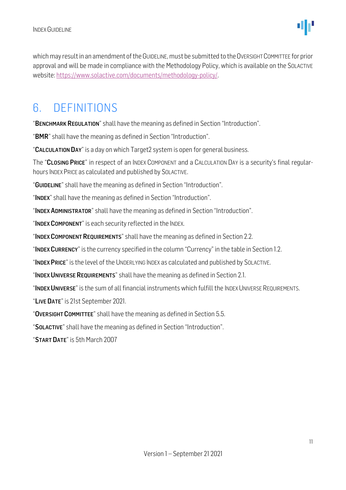which may result in an amendment of the GUIDELINE, must be submitted to the OVERSIGHT COMMITTEE for prior approval and will be made in compliance with the [Methodology](http://methodology/) Policy, which is available on the SOLACTIVE website: [https://www.solactive.com/documents/methodology-policy/.](https://www.solactive.com/documents/methodology-policy/)

### <span id="page-10-0"></span>6. DEFINITIONS

"BENCHMARK REGULATION" shall have the meaning as defined in Section "Introduction".

"BMR" shall have the meaning as defined in Section "Introduction".

"CALCULATION DAY" is a day on which Target2 system is open for general business.

The "CLOSING PRICE" in respect of an INDEX COMPONENT and a CALCULATION DAY is a security's final regularhours INDEX PRICE as calculated and published by SOLACTIVE.

"GUIDELINE" shall have the meaning as defined in Section "Introduction".

"INDEX" shall have the meaning as defined in Section "Introduction".

"INDEX ADMINISTRATOR" shall have the meaning as defined in Section "Introduction".

"INDEX COMPONENT" is each security reflected in the INDEX.

"INDEX COMPONENT REQUIREMENTS" shall have the meaning as defined in Section 2.2.

"INDEX CURRENCY" is the currency specified in the column "Currency" in the table in Section 1.2.

"INDEX PRICE" is the level of the UNDERLYING INDEX as calculated and published by SOLACTIVE.

"INDEX UNIVERSE REQUIREMENTS" shall have the meaning as defined in Section 2.1.

"INDEX UNIVERSE" is the sum of all financial instruments which fulfill the INDEX UNIVERSE REQUIREMENTS.

"LIVE DATE" is 21st September 2021.

"OVERSIGHT COMMITTEE" shall have the meaning as defined in Section 5.5.

"SOLACTIVE" shall have the meaning as defined in Section "Introduction".

"START DATE" is 5th March 2007